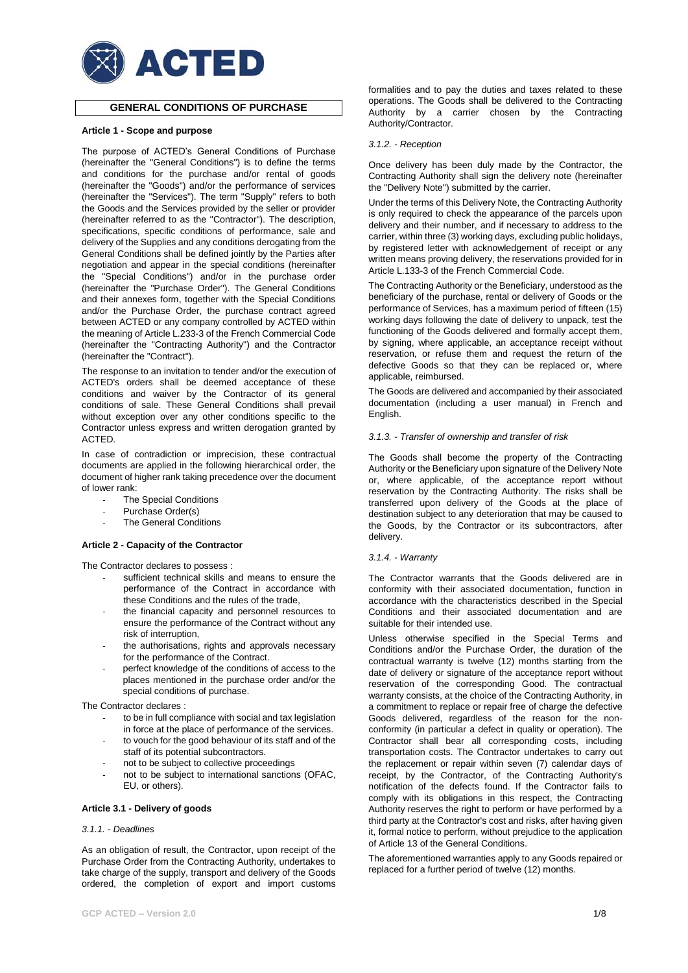

# **GENERAL CONDITIONS OF PURCHASE**

### **Article 1 - Scope and purpose**

The purpose of ACTED's General Conditions of Purchase (hereinafter the "General Conditions") is to define the terms and conditions for the purchase and/or rental of goods (hereinafter the "Goods") and/or the performance of services (hereinafter the "Services"). The term "Supply" refers to both the Goods and the Services provided by the seller or provider (hereinafter referred to as the "Contractor"). The description, specifications, specific conditions of performance, sale and delivery of the Supplies and any conditions derogating from the General Conditions shall be defined jointly by the Parties after negotiation and appear in the special conditions (hereinafter the "Special Conditions") and/or in the purchase order (hereinafter the "Purchase Order"). The General Conditions and their annexes form, together with the Special Conditions and/or the Purchase Order, the purchase contract agreed between ACTED or any company controlled by ACTED within the meaning of Article L.233-3 of the French Commercial Code (hereinafter the "Contracting Authority") and the Contractor (hereinafter the "Contract").

The response to an invitation to tender and/or the execution of ACTED's orders shall be deemed acceptance of these conditions and waiver by the Contractor of its general conditions of sale. These General Conditions shall prevail without exception over any other conditions specific to the Contractor unless express and written derogation granted by ACTED.

In case of contradiction or imprecision, these contractual documents are applied in the following hierarchical order, the document of higher rank taking precedence over the document of lower rank:

- The Special Conditions
- Purchase Order(s)
- The General Conditions

# **Article 2 - Capacity of the Contractor**

The Contractor declares to possess :

- sufficient technical skills and means to ensure the performance of the Contract in accordance with these Conditions and the rules of the trade,
- the financial capacity and personnel resources to ensure the performance of the Contract without any risk of interruption,
- the authorisations, rights and approvals necessary for the performance of the Contract.
- perfect knowledge of the conditions of access to the places mentioned in the purchase order and/or the special conditions of purchase.

The Contractor declares :

- to be in full compliance with social and tax legislation in force at the place of performance of the services.
- to vouch for the good behaviour of its staff and of the staff of its potential subcontractors.
- not to be subject to collective proceedings
- not to be subject to international sanctions (OFAC, EU, or others).

# **Article 3.1 - Delivery of goods**

### *3.1.1. - Deadlines*

As an obligation of result, the Contractor, upon receipt of the Purchase Order from the Contracting Authority, undertakes to take charge of the supply, transport and delivery of the Goods ordered, the completion of export and import customs formalities and to pay the duties and taxes related to these operations. The Goods shall be delivered to the Contracting Authority by a carrier chosen by the Contracting Authority/Contractor.

### *3.1.2. - Reception*

Once delivery has been duly made by the Contractor, the Contracting Authority shall sign the delivery note (hereinafter the "Delivery Note") submitted by the carrier.

Under the terms of this Delivery Note, the Contracting Authority is only required to check the appearance of the parcels upon delivery and their number, and if necessary to address to the carrier, within three (3) working days, excluding public holidays, by registered letter with acknowledgement of receipt or any written means proving delivery, the reservations provided for in Article L.133-3 of the French Commercial Code.

The Contracting Authority or the Beneficiary, understood as the beneficiary of the purchase, rental or delivery of Goods or the performance of Services, has a maximum period of fifteen (15) working days following the date of delivery to unpack, test the functioning of the Goods delivered and formally accept them, by signing, where applicable, an acceptance receipt without reservation, or refuse them and request the return of the defective Goods so that they can be replaced or, where applicable, reimbursed.

The Goods are delivered and accompanied by their associated documentation (including a user manual) in French and English.

### *3.1.3. - Transfer of ownership and transfer of risk*

The Goods shall become the property of the Contracting Authority or the Beneficiary upon signature of the Delivery Note or, where applicable, of the acceptance report without reservation by the Contracting Authority. The risks shall be transferred upon delivery of the Goods at the place of destination subject to any deterioration that may be caused to the Goods, by the Contractor or its subcontractors, after delivery.

## *3.1.4. - Warranty*

The Contractor warrants that the Goods delivered are in conformity with their associated documentation, function in accordance with the characteristics described in the Special Conditions and their associated documentation and are suitable for their intended use.

Unless otherwise specified in the Special Terms and Conditions and/or the Purchase Order, the duration of the contractual warranty is twelve (12) months starting from the date of delivery or signature of the acceptance report without reservation of the corresponding Good. The contractual warranty consists, at the choice of the Contracting Authority, in a commitment to replace or repair free of charge the defective Goods delivered, regardless of the reason for the nonconformity (in particular a defect in quality or operation). The Contractor shall bear all corresponding costs, including transportation costs. The Contractor undertakes to carry out the replacement or repair within seven (7) calendar days of receipt, by the Contractor, of the Contracting Authority's notification of the defects found. If the Contractor fails to comply with its obligations in this respect, the Contracting Authority reserves the right to perform or have performed by a third party at the Contractor's cost and risks, after having given it, formal notice to perform, without prejudice to the application of Article 13 of the General Conditions.

The aforementioned warranties apply to any Goods repaired or replaced for a further period of twelve (12) months.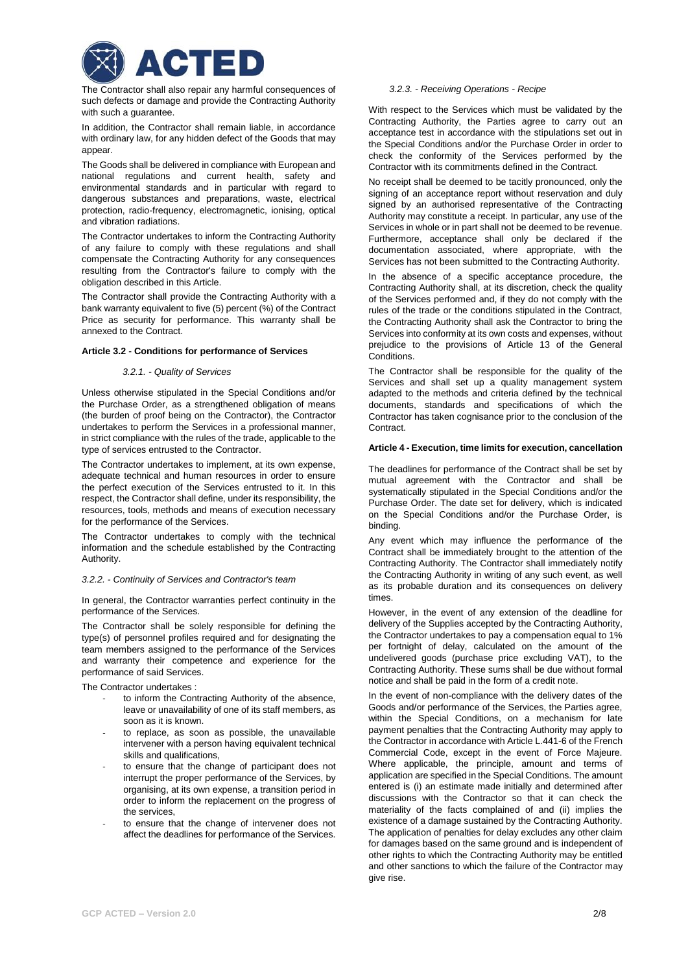

The Contractor shall also repair any harmful consequences of such defects or damage and provide the Contracting Authority with such a guarantee.

In addition, the Contractor shall remain liable, in accordance with ordinary law, for any hidden defect of the Goods that may appear.

The Goods shall be delivered in compliance with European and national regulations and current health, safety and environmental standards and in particular with regard to dangerous substances and preparations, waste, electrical protection, radio-frequency, electromagnetic, ionising, optical and vibration radiations.

The Contractor undertakes to inform the Contracting Authority of any failure to comply with these regulations and shall compensate the Contracting Authority for any consequences resulting from the Contractor's failure to comply with the obligation described in this Article.

The Contractor shall provide the Contracting Authority with a bank warranty equivalent to five (5) percent (%) of the Contract Price as security for performance. This warranty shall be annexed to the Contract.

# **Article 3.2 - Conditions for performance of Services**

## *3.2.1. - Quality of Services*

Unless otherwise stipulated in the Special Conditions and/or the Purchase Order, as a strengthened obligation of means (the burden of proof being on the Contractor), the Contractor undertakes to perform the Services in a professional manner, in strict compliance with the rules of the trade, applicable to the type of services entrusted to the Contractor.

The Contractor undertakes to implement, at its own expense, adequate technical and human resources in order to ensure the perfect execution of the Services entrusted to it. In this respect, the Contractor shall define, under its responsibility, the resources, tools, methods and means of execution necessary for the performance of the Services.

The Contractor undertakes to comply with the technical information and the schedule established by the Contracting Authority.

## *3.2.2. - Continuity of Services and Contractor's team*

In general, the Contractor warranties perfect continuity in the performance of the Services.

The Contractor shall be solely responsible for defining the type(s) of personnel profiles required and for designating the team members assigned to the performance of the Services and warranty their competence and experience for the performance of said Services.

The Contractor undertakes :

- to inform the Contracting Authority of the absence, leave or unavailability of one of its staff members, as soon as it is known.
- to replace, as soon as possible, the unavailable intervener with a person having equivalent technical skills and qualifications,
- to ensure that the change of participant does not interrupt the proper performance of the Services, by organising, at its own expense, a transition period in order to inform the replacement on the progress of the services,
- to ensure that the change of intervener does not affect the deadlines for performance of the Services.

### *3.2.3. - Receiving Operations - Recipe*

With respect to the Services which must be validated by the Contracting Authority, the Parties agree to carry out an acceptance test in accordance with the stipulations set out in the Special Conditions and/or the Purchase Order in order to check the conformity of the Services performed by the Contractor with its commitments defined in the Contract.

No receipt shall be deemed to be tacitly pronounced, only the signing of an acceptance report without reservation and duly signed by an authorised representative of the Contracting Authority may constitute a receipt. In particular, any use of the Services in whole or in part shall not be deemed to be revenue. Furthermore, acceptance shall only be declared if the documentation associated, where appropriate, with the Services has not been submitted to the Contracting Authority.

In the absence of a specific acceptance procedure, the Contracting Authority shall, at its discretion, check the quality of the Services performed and, if they do not comply with the rules of the trade or the conditions stipulated in the Contract, the Contracting Authority shall ask the Contractor to bring the Services into conformity at its own costs and expenses, without prejudice to the provisions of Article 13 of the General Conditions.

The Contractor shall be responsible for the quality of the Services and shall set up a quality management system adapted to the methods and criteria defined by the technical documents, standards and specifications of which the Contractor has taken cognisance prior to the conclusion of the Contract.

# **Article 4 - Execution, time limits for execution, cancellation**

The deadlines for performance of the Contract shall be set by mutual agreement with the Contractor and shall be systematically stipulated in the Special Conditions and/or the Purchase Order. The date set for delivery, which is indicated on the Special Conditions and/or the Purchase Order, is binding.

Any event which may influence the performance of the Contract shall be immediately brought to the attention of the Contracting Authority. The Contractor shall immediately notify the Contracting Authority in writing of any such event, as well as its probable duration and its consequences on delivery times.

However, in the event of any extension of the deadline for delivery of the Supplies accepted by the Contracting Authority, the Contractor undertakes to pay a compensation equal to 1% per fortnight of delay, calculated on the amount of the undelivered goods (purchase price excluding VAT), to the Contracting Authority. These sums shall be due without formal notice and shall be paid in the form of a credit note.

In the event of non-compliance with the delivery dates of the Goods and/or performance of the Services, the Parties agree, within the Special Conditions, on a mechanism for late payment penalties that the Contracting Authority may apply to the Contractor in accordance with Article L.441-6 of the French Commercial Code, except in the event of Force Majeure. Where applicable, the principle, amount and terms of application are specified in the Special Conditions. The amount entered is (i) an estimate made initially and determined after discussions with the Contractor so that it can check the materiality of the facts complained of and (ii) implies the existence of a damage sustained by the Contracting Authority. The application of penalties for delay excludes any other claim for damages based on the same ground and is independent of other rights to which the Contracting Authority may be entitled and other sanctions to which the failure of the Contractor may give rise.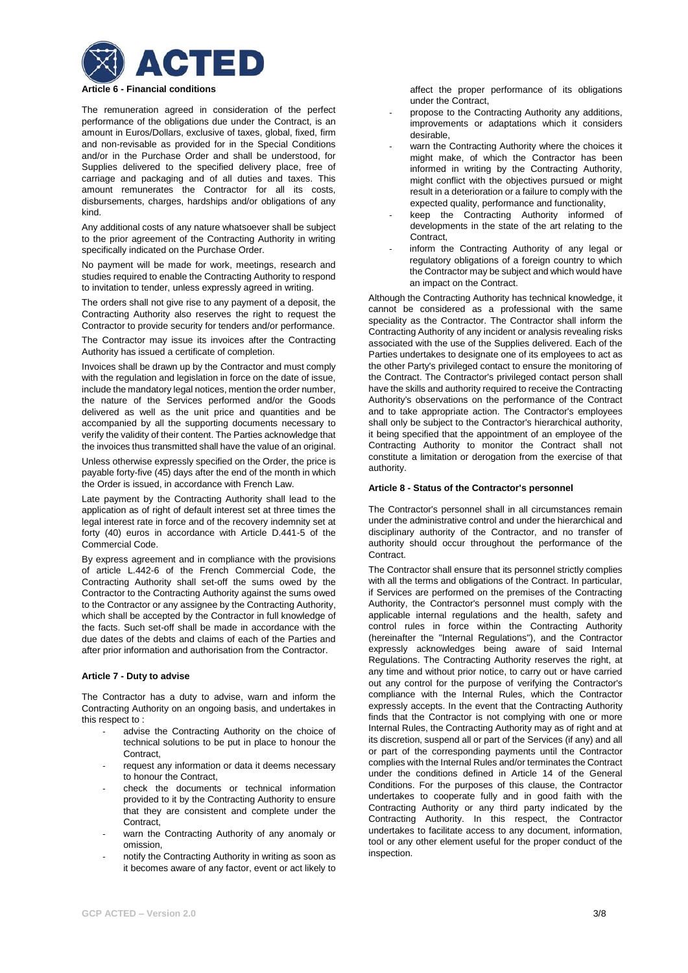

The remuneration agreed in consideration of the perfect performance of the obligations due under the Contract, is an amount in Euros/Dollars, exclusive of taxes, global, fixed, firm and non-revisable as provided for in the Special Conditions and/or in the Purchase Order and shall be understood, for Supplies delivered to the specified delivery place, free of carriage and packaging and of all duties and taxes. This amount remunerates the Contractor for all its costs, disbursements, charges, hardships and/or obligations of any kind.

Any additional costs of any nature whatsoever shall be subject to the prior agreement of the Contracting Authority in writing specifically indicated on the Purchase Order.

No payment will be made for work, meetings, research and studies required to enable the Contracting Authority to respond to invitation to tender, unless expressly agreed in writing.

The orders shall not give rise to any payment of a deposit, the Contracting Authority also reserves the right to request the Contractor to provide security for tenders and/or performance.

The Contractor may issue its invoices after the Contracting Authority has issued a certificate of completion.

Invoices shall be drawn up by the Contractor and must comply with the regulation and legislation in force on the date of issue, include the mandatory legal notices, mention the order number, the nature of the Services performed and/or the Goods delivered as well as the unit price and quantities and be accompanied by all the supporting documents necessary to verify the validity of their content. The Parties acknowledge that the invoices thus transmitted shall have the value of an original.

Unless otherwise expressly specified on the Order, the price is payable forty-five (45) days after the end of the month in which the Order is issued, in accordance with French Law.

Late payment by the Contracting Authority shall lead to the application as of right of default interest set at three times the legal interest rate in force and of the recovery indemnity set at forty (40) euros in accordance with Article D.441-5 of the Commercial Code.

By express agreement and in compliance with the provisions of article L.442-6 of the French Commercial Code, the Contracting Authority shall set-off the sums owed by the Contractor to the Contracting Authority against the sums owed to the Contractor or any assignee by the Contracting Authority, which shall be accepted by the Contractor in full knowledge of the facts. Such set-off shall be made in accordance with the due dates of the debts and claims of each of the Parties and after prior information and authorisation from the Contractor.

# **Article 7 - Duty to advise**

The Contractor has a duty to advise, warn and inform the Contracting Authority on an ongoing basis, and undertakes in this respect to :

- advise the Contracting Authority on the choice of technical solutions to be put in place to honour the Contract,
- request any information or data it deems necessary to honour the Contract,
- check the documents or technical information provided to it by the Contracting Authority to ensure that they are consistent and complete under the **Contract**
- warn the Contracting Authority of any anomaly or omission,
- notify the Contracting Authority in writing as soon as it becomes aware of any factor, event or act likely to

affect the proper performance of its obligations under the Contract,

- propose to the Contracting Authority any additions, improvements or adaptations which it considers desirable,
- warn the Contracting Authority where the choices it might make, of which the Contractor has been informed in writing by the Contracting Authority, might conflict with the objectives pursued or might result in a deterioration or a failure to comply with the expected quality, performance and functionality,
- keep the Contracting Authority informed of developments in the state of the art relating to the Contract,
- inform the Contracting Authority of any legal or regulatory obligations of a foreign country to which the Contractor may be subject and which would have an impact on the Contract.

Although the Contracting Authority has technical knowledge, it cannot be considered as a professional with the same speciality as the Contractor. The Contractor shall inform the Contracting Authority of any incident or analysis revealing risks associated with the use of the Supplies delivered. Each of the Parties undertakes to designate one of its employees to act as the other Party's privileged contact to ensure the monitoring of the Contract. The Contractor's privileged contact person shall have the skills and authority required to receive the Contracting Authority's observations on the performance of the Contract and to take appropriate action. The Contractor's employees shall only be subject to the Contractor's hierarchical authority, it being specified that the appointment of an employee of the Contracting Authority to monitor the Contract shall not constitute a limitation or derogation from the exercise of that authority.

## **Article 8 - Status of the Contractor's personnel**

The Contractor's personnel shall in all circumstances remain under the administrative control and under the hierarchical and disciplinary authority of the Contractor, and no transfer of authority should occur throughout the performance of the Contract.

The Contractor shall ensure that its personnel strictly complies with all the terms and obligations of the Contract. In particular, if Services are performed on the premises of the Contracting Authority, the Contractor's personnel must comply with the applicable internal regulations and the health, safety and control rules in force within the Contracting Authority (hereinafter the "Internal Regulations"), and the Contractor expressly acknowledges being aware of said Internal Regulations. The Contracting Authority reserves the right, at any time and without prior notice, to carry out or have carried out any control for the purpose of verifying the Contractor's compliance with the Internal Rules, which the Contractor expressly accepts. In the event that the Contracting Authority finds that the Contractor is not complying with one or more Internal Rules, the Contracting Authority may as of right and at its discretion, suspend all or part of the Services (if any) and all or part of the corresponding payments until the Contractor complies with the Internal Rules and/or terminates the Contract under the conditions defined in Article 14 of the General Conditions. For the purposes of this clause, the Contractor undertakes to cooperate fully and in good faith with the Contracting Authority or any third party indicated by the Contracting Authority. In this respect, the Contractor undertakes to facilitate access to any document, information, tool or any other element useful for the proper conduct of the inspection.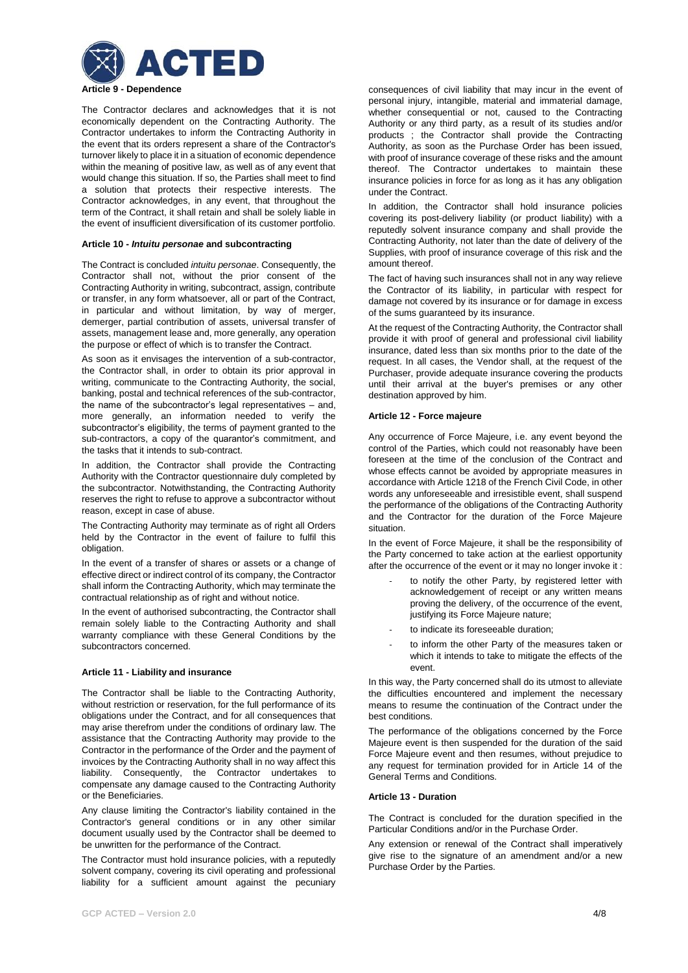

The Contractor declares and acknowledges that it is not economically dependent on the Contracting Authority. The Contractor undertakes to inform the Contracting Authority in the event that its orders represent a share of the Contractor's turnover likely to place it in a situation of economic dependence within the meaning of positive law, as well as of any event that would change this situation. If so, the Parties shall meet to find a solution that protects their respective interests. The Contractor acknowledges, in any event, that throughout the term of the Contract, it shall retain and shall be solely liable in the event of insufficient diversification of its customer portfolio.

### **Article 10 -** *Intuitu personae* **and subcontracting**

The Contract is concluded *intuitu personae*. Consequently, the Contractor shall not, without the prior consent of the Contracting Authority in writing, subcontract, assign, contribute or transfer, in any form whatsoever, all or part of the Contract, in particular and without limitation, by way of merger, demerger, partial contribution of assets, universal transfer of assets, management lease and, more generally, any operation the purpose or effect of which is to transfer the Contract.

As soon as it envisages the intervention of a sub-contractor, the Contractor shall, in order to obtain its prior approval in writing, communicate to the Contracting Authority, the social, banking, postal and technical references of the sub-contractor, the name of the subcontractor's legal representatives – and, more generally, an information needed to verify the subcontractor's eligibility, the terms of payment granted to the sub-contractors, a copy of the quarantor's commitment, and the tasks that it intends to sub-contract.

In addition, the Contractor shall provide the Contracting Authority with the Contractor questionnaire duly completed by the subcontractor. Notwithstanding, the Contracting Authority reserves the right to refuse to approve a subcontractor without reason, except in case of abuse.

The Contracting Authority may terminate as of right all Orders held by the Contractor in the event of failure to fulfil this obligation.

In the event of a transfer of shares or assets or a change of effective direct or indirect control of its company, the Contractor shall inform the Contracting Authority, which may terminate the contractual relationship as of right and without notice.

In the event of authorised subcontracting, the Contractor shall remain solely liable to the Contracting Authority and shall warranty compliance with these General Conditions by the subcontractors concerned.

### **Article 11 - Liability and insurance**

The Contractor shall be liable to the Contracting Authority, without restriction or reservation, for the full performance of its obligations under the Contract, and for all consequences that may arise therefrom under the conditions of ordinary law. The assistance that the Contracting Authority may provide to the Contractor in the performance of the Order and the payment of invoices by the Contracting Authority shall in no way affect this liability. Consequently, the Contractor undertakes to compensate any damage caused to the Contracting Authority or the Beneficiaries.

Any clause limiting the Contractor's liability contained in the Contractor's general conditions or in any other similar document usually used by the Contractor shall be deemed to be unwritten for the performance of the Contract.

The Contractor must hold insurance policies, with a reputedly solvent company, covering its civil operating and professional liability for a sufficient amount against the pecuniary

consequences of civil liability that may incur in the event of personal injury, intangible, material and immaterial damage, whether consequential or not, caused to the Contracting Authority or any third party, as a result of its studies and/or products ; the Contractor shall provide the Contracting Authority, as soon as the Purchase Order has been issued, with proof of insurance coverage of these risks and the amount thereof. The Contractor undertakes to maintain these insurance policies in force for as long as it has any obligation under the Contract.

In addition, the Contractor shall hold insurance policies covering its post-delivery liability (or product liability) with a reputedly solvent insurance company and shall provide the Contracting Authority, not later than the date of delivery of the Supplies, with proof of insurance coverage of this risk and the amount thereof.

The fact of having such insurances shall not in any way relieve the Contractor of its liability, in particular with respect for damage not covered by its insurance or for damage in excess of the sums guaranteed by its insurance.

At the request of the Contracting Authority, the Contractor shall provide it with proof of general and professional civil liability insurance, dated less than six months prior to the date of the request. In all cases, the Vendor shall, at the request of the Purchaser, provide adequate insurance covering the products until their arrival at the buyer's premises or any other destination approved by him.

### **Article 12 - Force majeure**

Any occurrence of Force Majeure, i.e. any event beyond the control of the Parties, which could not reasonably have been foreseen at the time of the conclusion of the Contract and whose effects cannot be avoided by appropriate measures in accordance with Article 1218 of the French Civil Code, in other words any unforeseeable and irresistible event, shall suspend the performance of the obligations of the Contracting Authority and the Contractor for the duration of the Force Majeure situation.

In the event of Force Majeure, it shall be the responsibility of the Party concerned to take action at the earliest opportunity after the occurrence of the event or it may no longer invoke it :

- to notify the other Party, by registered letter with acknowledgement of receipt or any written means proving the delivery, of the occurrence of the event, justifying its Force Majeure nature:
- to indicate its foreseeable duration:
- to inform the other Party of the measures taken or which it intends to take to mitigate the effects of the event.

In this way, the Party concerned shall do its utmost to alleviate the difficulties encountered and implement the necessary means to resume the continuation of the Contract under the best conditions.

The performance of the obligations concerned by the Force Majeure event is then suspended for the duration of the said Force Majeure event and then resumes, without prejudice to any request for termination provided for in Article 14 of the General Terms and Conditions.

## **Article 13 - Duration**

The Contract is concluded for the duration specified in the Particular Conditions and/or in the Purchase Order.

Any extension or renewal of the Contract shall imperatively give rise to the signature of an amendment and/or a new Purchase Order by the Parties.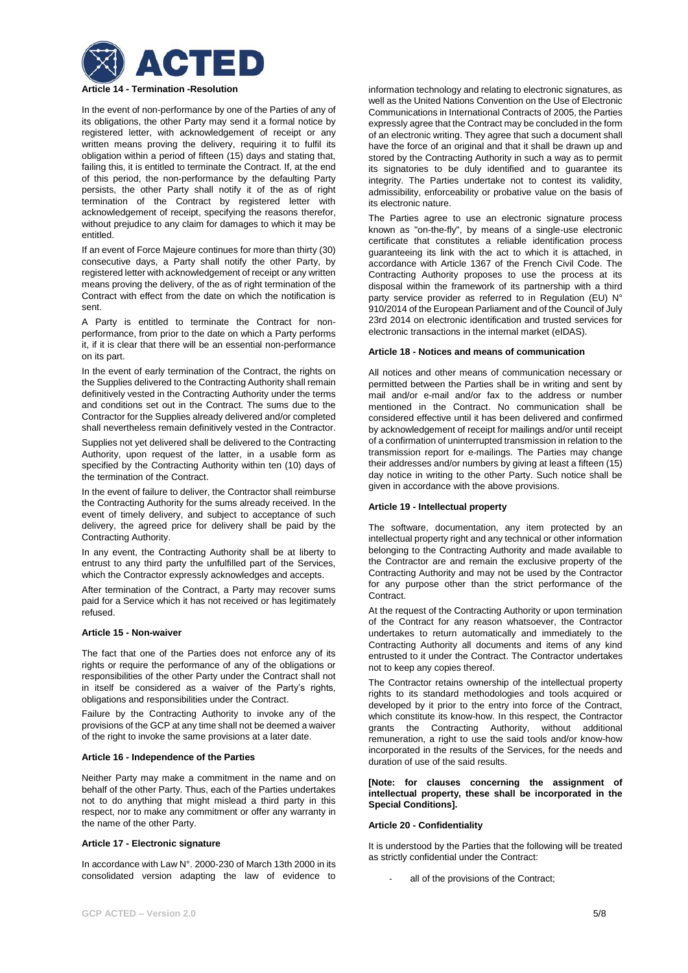

In the event of non-performance by one of the Parties of any of its obligations, the other Party may send it a formal notice by registered letter, with acknowledgement of receipt or any written means proving the delivery, requiring it to fulfil its obligation within a period of fifteen (15) days and stating that, failing this, it is entitled to terminate the Contract. If, at the end of this period, the non-performance by the defaulting Party persists, the other Party shall notify it of the as of right termination of the Contract by registered letter with acknowledgement of receipt, specifying the reasons therefor, without prejudice to any claim for damages to which it may be entitled.

If an event of Force Majeure continues for more than thirty (30) consecutive days, a Party shall notify the other Party, by registered letter with acknowledgement of receipt or any written means proving the delivery, of the as of right termination of the Contract with effect from the date on which the notification is sent.

A Party is entitled to terminate the Contract for nonperformance, from prior to the date on which a Party performs it, if it is clear that there will be an essential non-performance on its part.

In the event of early termination of the Contract, the rights on the Supplies delivered to the Contracting Authority shall remain definitively vested in the Contracting Authority under the terms and conditions set out in the Contract. The sums due to the Contractor for the Supplies already delivered and/or completed shall nevertheless remain definitively vested in the Contractor.

Supplies not yet delivered shall be delivered to the Contracting Authority, upon request of the latter, in a usable form as specified by the Contracting Authority within ten (10) days of the termination of the Contract.

In the event of failure to deliver, the Contractor shall reimburse the Contracting Authority for the sums already received. In the event of timely delivery, and subject to acceptance of such delivery, the agreed price for delivery shall be paid by the Contracting Authority.

In any event, the Contracting Authority shall be at liberty to entrust to any third party the unfulfilled part of the Services, which the Contractor expressly acknowledges and accepts.

After termination of the Contract, a Party may recover sums paid for a Service which it has not received or has legitimately refused.

# **Article 15 - Non-waiver**

The fact that one of the Parties does not enforce any of its rights or require the performance of any of the obligations or responsibilities of the other Party under the Contract shall not in itself be considered as a waiver of the Party's rights, obligations and responsibilities under the Contract.

Failure by the Contracting Authority to invoke any of the provisions of the GCP at any time shall not be deemed a waiver of the right to invoke the same provisions at a later date.

#### **Article 16 - Independence of the Parties**

Neither Party may make a commitment in the name and on behalf of the other Party. Thus, each of the Parties undertakes not to do anything that might mislead a third party in this respect, nor to make any commitment or offer any warranty in the name of the other Party.

# **Article 17 - Electronic signature**

In accordance with Law N°. 2000-230 of March 13th 2000 in its consolidated version adapting the law of evidence to

information technology and relating to electronic signatures, as well as the United Nations Convention on the Use of Electronic Communications in International Contracts of 2005, the Parties expressly agree that the Contract may be concluded in the form of an electronic writing. They agree that such a document shall have the force of an original and that it shall be drawn up and stored by the Contracting Authority in such a way as to permit its signatories to be duly identified and to guarantee its integrity. The Parties undertake not to contest its validity, admissibility, enforceability or probative value on the basis of its electronic nature.

The Parties agree to use an electronic signature process known as "on-the-fly", by means of a single-use electronic certificate that constitutes a reliable identification process guaranteeing its link with the act to which it is attached, in accordance with Article 1367 of the French Civil Code. The Contracting Authority proposes to use the process at its disposal within the framework of its partnership with a third party service provider as referred to in Regulation (EU) N° 910/2014 of the European Parliament and of the Council of July 23rd 2014 on electronic identification and trusted services for electronic transactions in the internal market (eIDAS).

#### **Article 18 - Notices and means of communication**

All notices and other means of communication necessary or permitted between the Parties shall be in writing and sent by mail and/or e-mail and/or fax to the address or number mentioned in the Contract. No communication shall be considered effective until it has been delivered and confirmed by acknowledgement of receipt for mailings and/or until receipt of a confirmation of uninterrupted transmission in relation to the transmission report for e-mailings. The Parties may change their addresses and/or numbers by giving at least a fifteen (15) day notice in writing to the other Party. Such notice shall be given in accordance with the above provisions.

## **Article 19 - Intellectual property**

The software, documentation, any item protected by an intellectual property right and any technical or other information belonging to the Contracting Authority and made available to the Contractor are and remain the exclusive property of the Contracting Authority and may not be used by the Contractor for any purpose other than the strict performance of the **Contract.** 

At the request of the Contracting Authority or upon termination of the Contract for any reason whatsoever, the Contractor undertakes to return automatically and immediately to the Contracting Authority all documents and items of any kind entrusted to it under the Contract. The Contractor undertakes not to keep any copies thereof.

The Contractor retains ownership of the intellectual property rights to its standard methodologies and tools acquired or developed by it prior to the entry into force of the Contract, which constitute its know-how. In this respect, the Contractor grants the Contracting Authority, without additional remuneration, a right to use the said tools and/or know-how incorporated in the results of the Services, for the needs and duration of use of the said results.

### **[Note: for clauses concerning the assignment of intellectual property, these shall be incorporated in the Special Conditions].**

### **Article 20 - Confidentiality**

It is understood by the Parties that the following will be treated as strictly confidential under the Contract:

all of the provisions of the Contract;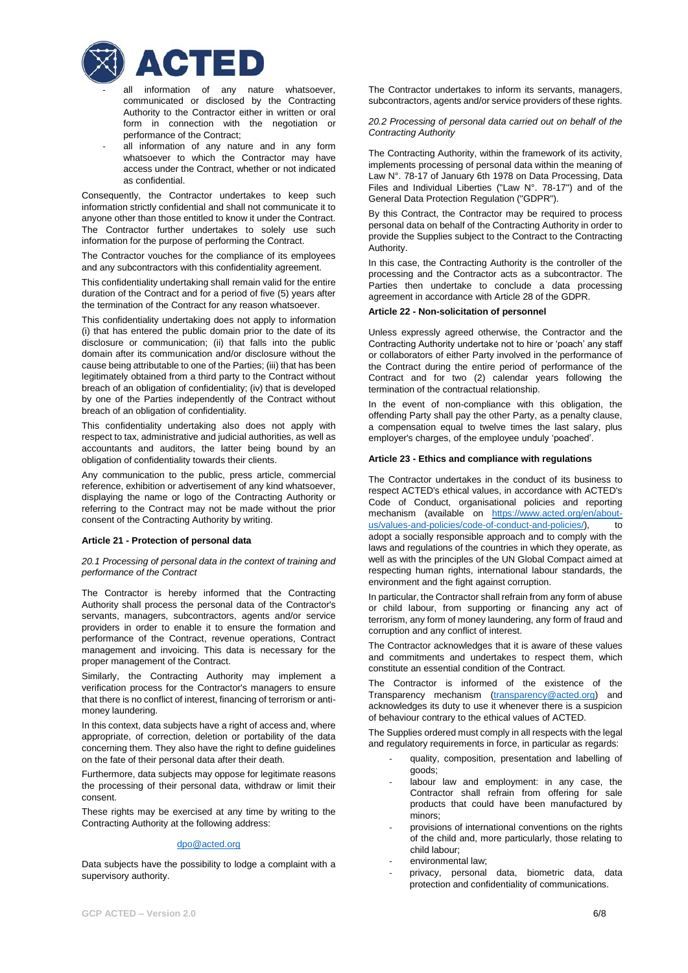

- all information of any nature whatsoever, communicated or disclosed by the Contracting Authority to the Contractor either in written or oral form in connection with the negotiation or performance of the Contract;
- all information of any nature and in any form whatsoever to which the Contractor may have access under the Contract, whether or not indicated as confidential.

Consequently, the Contractor undertakes to keep such information strictly confidential and shall not communicate it to anyone other than those entitled to know it under the Contract. The Contractor further undertakes to solely use such information for the purpose of performing the Contract.

The Contractor vouches for the compliance of its employees and any subcontractors with this confidentiality agreement.

This confidentiality undertaking shall remain valid for the entire duration of the Contract and for a period of five (5) years after the termination of the Contract for any reason whatsoever.

This confidentiality undertaking does not apply to information (i) that has entered the public domain prior to the date of its disclosure or communication; (ii) that falls into the public domain after its communication and/or disclosure without the cause being attributable to one of the Parties; (iii) that has been legitimately obtained from a third party to the Contract without breach of an obligation of confidentiality; (iv) that is developed by one of the Parties independently of the Contract without breach of an obligation of confidentiality.

This confidentiality undertaking also does not apply with respect to tax, administrative and judicial authorities, as well as accountants and auditors, the latter being bound by an obligation of confidentiality towards their clients.

Any communication to the public, press article, commercial reference, exhibition or advertisement of any kind whatsoever, displaying the name or logo of the Contracting Authority or referring to the Contract may not be made without the prior consent of the Contracting Authority by writing.

## **Article 21 - Protection of personal data**

*20.1 Processing of personal data in the context of training and performance of the Contract*

The Contractor is hereby informed that the Contracting Authority shall process the personal data of the Contractor's servants, managers, subcontractors, agents and/or service providers in order to enable it to ensure the formation and performance of the Contract, revenue operations, Contract management and invoicing. This data is necessary for the proper management of the Contract.

Similarly, the Contracting Authority may implement a verification process for the Contractor's managers to ensure that there is no conflict of interest, financing of terrorism or antimoney laundering.

In this context, data subjects have a right of access and, where appropriate, of correction, deletion or portability of the data concerning them. They also have the right to define guidelines on the fate of their personal data after their death.

Furthermore, data subjects may oppose for legitimate reasons the processing of their personal data, withdraw or limit their consent.

These rights may be exercised at any time by writing to the Contracting Authority at the following address:

## [dpo@acted.org](file:///C:/Users/fanny.devoucoux/Desktop/Manuel/Contrats/dpo@acted.org)

Data subjects have the possibility to lodge a complaint with a supervisory authority.

The Contractor undertakes to inform its servants, managers, subcontractors, agents and/or service providers of these rights.

*20.2 Processing of personal data carried out on behalf of the Contracting Authority*

The Contracting Authority, within the framework of its activity, implements processing of personal data within the meaning of Law N°. 78-17 of January 6th 1978 on Data Processing, Data Files and Individual Liberties ("Law N°. 78-17") and of the General Data Protection Regulation ("GDPR").

By this Contract, the Contractor may be required to process personal data on behalf of the Contracting Authority in order to provide the Supplies subject to the Contract to the Contracting Authority.

In this case, the Contracting Authority is the controller of the processing and the Contractor acts as a subcontractor. The Parties then undertake to conclude a data processing agreement in accordance with Article 28 of the GDPR.

# **Article 22 - Non-solicitation of personnel**

Unless expressly agreed otherwise, the Contractor and the Contracting Authority undertake not to hire or 'poach' any staff or collaborators of either Party involved in the performance of the Contract during the entire period of performance of the Contract and for two (2) calendar years following the termination of the contractual relationship.

In the event of non-compliance with this obligation, the offending Party shall pay the other Party, as a penalty clause, a compensation equal to twelve times the last salary, plus employer's charges, of the employee unduly 'poached'.

### **Article 23 - Ethics and compliance with regulations**

The Contractor undertakes in the conduct of its business to respect ACTED's ethical values, in accordance with ACTED's Code of Conduct, organisational policies and reporting mechanism (available on [https://www.acted.org/en/about](https://www.acted.org/en/about-us/values-and-policies/code-of-conduct-and-policies/)[us/values-and-policies/code-of-conduct-and-policies/\)](https://www.acted.org/en/about-us/values-and-policies/code-of-conduct-and-policies/), to adopt a socially responsible approach and to comply with the laws and regulations of the countries in which they operate, as well as with the principles of the UN Global Compact aimed at respecting human rights, international labour standards, the environment and the fight against corruption.

In particular, the Contractor shall refrain from any form of abuse or child labour, from supporting or financing any act of terrorism, any form of money laundering, any form of fraud and corruption and any conflict of interest.

The Contractor acknowledges that it is aware of these values and commitments and undertakes to respect them, which constitute an essential condition of the Contract.

The Contractor is informed of the existence of the Transparency mechanism [\(transparency@acted.org\)](mailto:transparency@acted.org) and acknowledges its duty to use it whenever there is a suspicion of behaviour contrary to the ethical values of ACTED.

The Supplies ordered must comply in all respects with the legal and regulatory requirements in force, in particular as regards:

- quality, composition, presentation and labelling of goods;
- labour law and employment: in any case, the Contractor shall refrain from offering for sale products that could have been manufactured by minors;
- provisions of international conventions on the rights of the child and, more particularly, those relating to child labour;
- environmental law:
- privacy, personal data, biometric data, data protection and confidentiality of communications.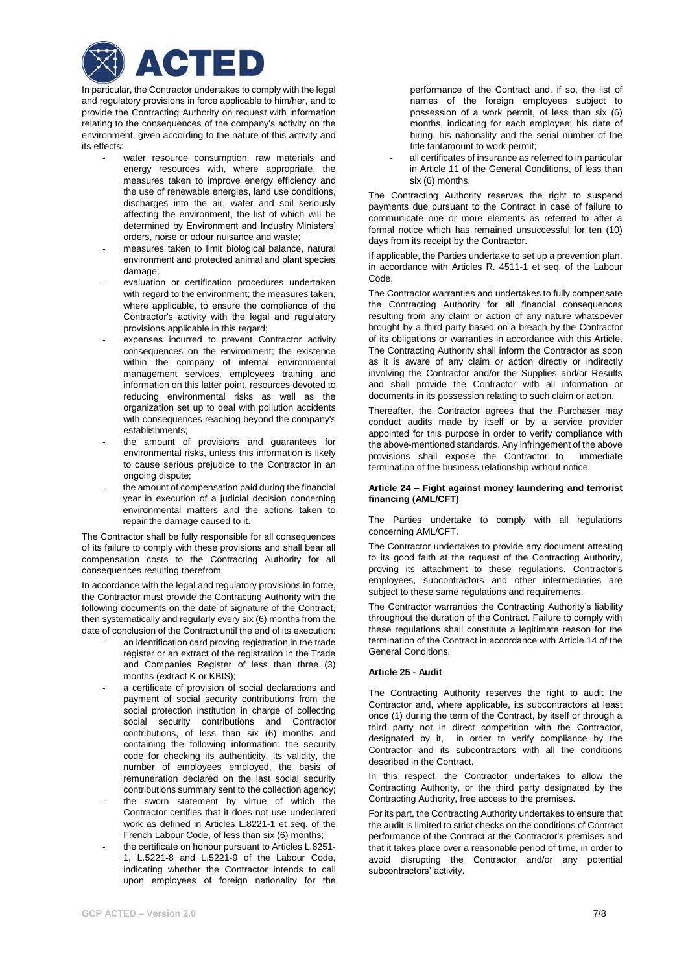

In particular, the Contractor undertakes to comply with the legal and regulatory provisions in force applicable to him/her, and to provide the Contracting Authority on request with information relating to the consequences of the company's activity on the environment, given according to the nature of this activity and its effects:

- water resource consumption, raw materials and energy resources with, where appropriate, the measures taken to improve energy efficiency and the use of renewable energies, land use conditions, discharges into the air, water and soil seriously affecting the environment, the list of which will be determined by Environment and Industry Ministers' orders, noise or odour nuisance and waste;
- measures taken to limit biological balance, natural environment and protected animal and plant species damage;
- evaluation or certification procedures undertaken with regard to the environment; the measures taken, where applicable, to ensure the compliance of the Contractor's activity with the legal and regulatory provisions applicable in this regard;
- expenses incurred to prevent Contractor activity consequences on the environment; the existence within the company of internal environmental management services, employees training and information on this latter point, resources devoted to reducing environmental risks as well as the organization set up to deal with pollution accidents with consequences reaching beyond the company's establishments;
- the amount of provisions and guarantees for environmental risks, unless this information is likely to cause serious prejudice to the Contractor in an ongoing dispute;
- the amount of compensation paid during the financial year in execution of a judicial decision concerning environmental matters and the actions taken to repair the damage caused to it.

The Contractor shall be fully responsible for all consequences of its failure to comply with these provisions and shall bear all compensation costs to the Contracting Authority for all consequences resulting therefrom.

In accordance with the legal and regulatory provisions in force, the Contractor must provide the Contracting Authority with the following documents on the date of signature of the Contract. then systematically and regularly every six (6) months from the date of conclusion of the Contract until the end of its execution:

- an identification card proving registration in the trade register or an extract of the registration in the Trade and Companies Register of less than three (3) months (extract K or KBIS);
- a certificate of provision of social declarations and payment of social security contributions from the social protection institution in charge of collecting social security contributions and Contractor contributions, of less than six (6) months and containing the following information: the security code for checking its authenticity, its validity, the number of employees employed, the basis of remuneration declared on the last social security contributions summary sent to the collection agency;
- the sworn statement by virtue of which the Contractor certifies that it does not use undeclared work as defined in Articles L.8221-1 et seq. of the French Labour Code, of less than six (6) months;
- the certificate on honour pursuant to Articles L.8251-1, L.5221-8 and L.5221-9 of the Labour Code, indicating whether the Contractor intends to call upon employees of foreign nationality for the

performance of the Contract and, if so, the list of names of the foreign employees subject to possession of a work permit, of less than six (6) months, indicating for each employee: his date of hiring, his nationality and the serial number of the title tantamount to work permit;

all certificates of insurance as referred to in particular in Article 11 of the General Conditions, of less than six (6) months.

The Contracting Authority reserves the right to suspend payments due pursuant to the Contract in case of failure to communicate one or more elements as referred to after a formal notice which has remained unsuccessful for ten (10) days from its receipt by the Contractor.

If applicable, the Parties undertake to set up a prevention plan, in accordance with Articles R. 4511-1 et seq. of the Labour Code.

The Contractor warranties and undertakes to fully compensate the Contracting Authority for all financial consequences resulting from any claim or action of any nature whatsoever brought by a third party based on a breach by the Contractor of its obligations or warranties in accordance with this Article. The Contracting Authority shall inform the Contractor as soon as it is aware of any claim or action directly or indirectly involving the Contractor and/or the Supplies and/or Results and shall provide the Contractor with all information or documents in its possession relating to such claim or action.

Thereafter, the Contractor agrees that the Purchaser may conduct audits made by itself or by a service provider appointed for this purpose in order to verify compliance with the above-mentioned standards. Any infringement of the above provisions shall expose the Contractor to immediate termination of the business relationship without notice.

### **Article 24 – Fight against money laundering and terrorist financing (AML/CFT)**

The Parties undertake to comply with all regulations concerning AML/CFT.

The Contractor undertakes to provide any document attesting to its good faith at the request of the Contracting Authority, proving its attachment to these regulations. Contractor's employees, subcontractors and other intermediaries are subject to these same regulations and requirements.

The Contractor warranties the Contracting Authority's liability throughout the duration of the Contract. Failure to comply with these regulations shall constitute a legitimate reason for the termination of the Contract in accordance with Article 14 of the General Conditions.

## **Article 25 - Audit**

The Contracting Authority reserves the right to audit the Contractor and, where applicable, its subcontractors at least once (1) during the term of the Contract, by itself or through a third party not in direct competition with the Contractor, designated by it, in order to verify compliance by the Contractor and its subcontractors with all the conditions described in the Contract.

In this respect, the Contractor undertakes to allow the Contracting Authority, or the third party designated by the Contracting Authority, free access to the premises.

For its part, the Contracting Authority undertakes to ensure that the audit is limited to strict checks on the conditions of Contract performance of the Contract at the Contractor's premises and that it takes place over a reasonable period of time, in order to avoid disrupting the Contractor and/or any potential subcontractors' activity.